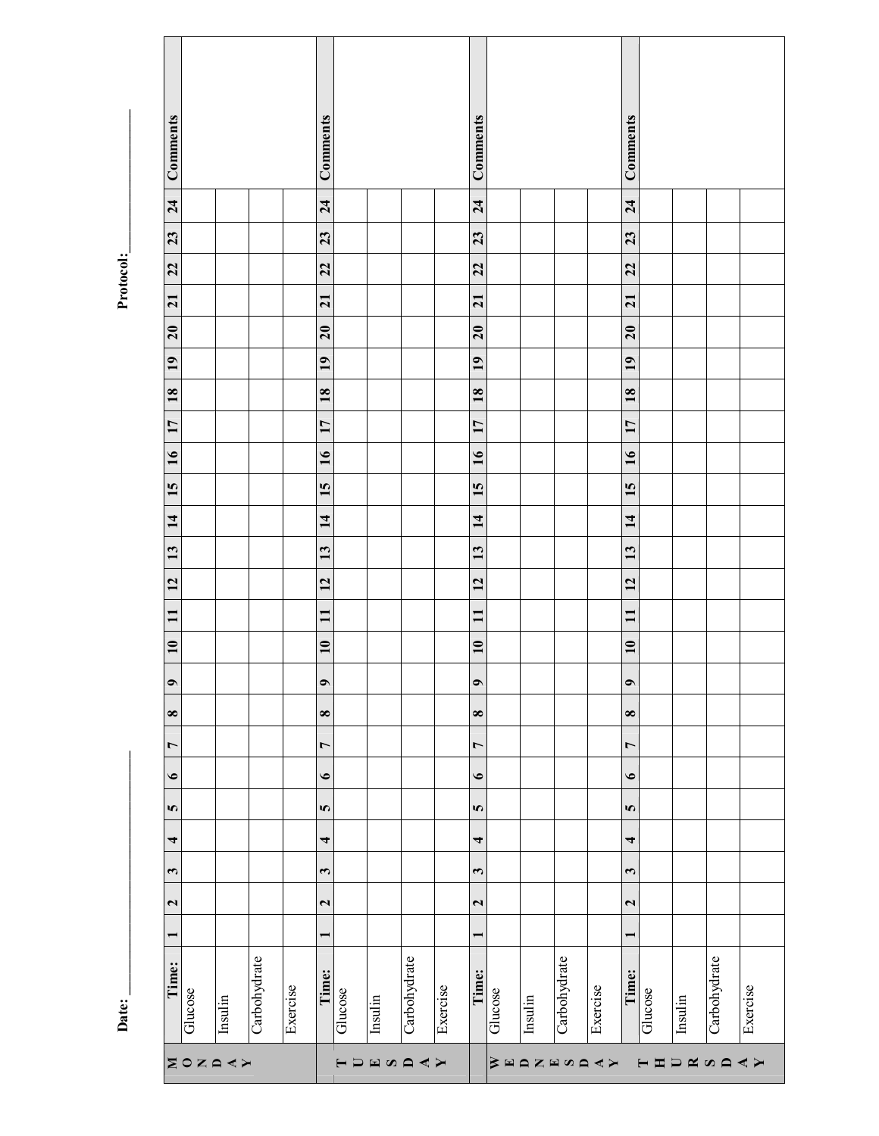**Date: \_\_\_\_\_\_\_\_\_\_\_\_\_\_\_\_\_\_\_\_\_\_\_\_\_\_\_\_\_\_\_\_\_\_ Protocol:\_\_\_\_\_\_\_\_\_\_\_\_\_\_\_\_\_\_\_\_** Protocol:

| Comments                |                  |         |              |          | Comments                 |                |         |              |          | Comments                 |                       |                     |              |          | Comments                 |                                  |         |              |          |
|-------------------------|------------------|---------|--------------|----------|--------------------------|----------------|---------|--------------|----------|--------------------------|-----------------------|---------------------|--------------|----------|--------------------------|----------------------------------|---------|--------------|----------|
| 24                      |                  |         |              |          | 24                       |                |         |              |          | 24                       |                       |                     |              |          | 24                       |                                  |         |              |          |
| 23                      |                  |         |              |          | 23                       |                |         |              |          | 23                       |                       |                     |              |          | 23                       |                                  |         |              |          |
| 22                      |                  |         |              |          | 22                       |                |         |              |          | 22                       |                       |                     |              |          | 22                       |                                  |         |              |          |
| $\overline{21}$         |                  |         |              |          | $\overline{21}$          |                |         |              |          | $\overline{21}$          |                       |                     |              |          | $\overline{21}$          |                                  |         |              |          |
| 20                      |                  |         |              |          | 20                       |                |         |              |          | $\overline{20}$          |                       |                     |              |          | 20                       |                                  |         |              |          |
| 19                      |                  |         |              |          | 19                       |                |         |              |          | 19                       |                       |                     |              |          | 19                       |                                  |         |              |          |
| $\overline{18}$         |                  |         |              |          | <b>18</b>                |                |         |              |          | $\overline{18}$          |                       |                     |              |          | $\overline{18}$          |                                  |         |              |          |
| 17                      |                  |         |              |          | 17                       |                |         |              |          | 17                       |                       |                     |              |          | 17                       |                                  |         |              |          |
| $\overline{16}$         |                  |         |              |          | 16                       |                |         |              |          | 16                       |                       |                     |              |          | $\overline{16}$          |                                  |         |              |          |
| 15                      |                  |         |              |          | 15                       |                |         |              |          | 15                       |                       |                     |              |          | 15                       |                                  |         |              |          |
| $\vec{a}$               |                  |         |              |          | $\vec{a}$                |                |         |              |          | 14                       |                       |                     |              |          | $\overline{1}$           |                                  |         |              |          |
| 13                      |                  |         |              |          | 13                       |                |         |              |          | 13                       |                       |                     |              |          | 13                       |                                  |         |              |          |
| 12                      |                  |         |              |          | 12                       |                |         |              |          | 12                       |                       |                     |              |          | 12                       |                                  |         |              |          |
| $\mathbf{I}$            |                  |         |              |          | $\mathbf{I}$             |                |         |              |          | $\mathbf{I}$             |                       |                     |              |          | $\mathbf{I}$             |                                  |         |              |          |
| $\overline{10}$         |                  |         |              |          | $\overline{10}$          |                |         |              |          | $\overline{10}$          |                       |                     |              |          | $\overline{10}$          |                                  |         |              |          |
| $\bullet$               |                  |         |              |          | $\bullet$                |                |         |              |          | $\bullet$                |                       |                     |              |          | $\bullet$                |                                  |         |              |          |
| $\infty$                |                  |         |              |          | $\infty$                 |                |         |              |          | $\infty$                 |                       |                     |              |          | $\infty$                 |                                  |         |              |          |
| $\overline{ }$          |                  |         |              |          | $\overline{ }$           |                |         |              |          | $\overline{ }$           |                       |                     |              |          | $\overline{ }$           |                                  |         |              |          |
| $\bullet$               |                  |         |              |          | $\bullet$                |                |         |              |          | $\bullet$                |                       |                     |              |          | $\bullet$                |                                  |         |              |          |
| $\boldsymbol{\sigma}$   |                  |         |              |          | $\bullet$                |                |         |              |          | $\Omega$                 |                       |                     |              |          | $\bullet$                |                                  |         |              |          |
| 4                       |                  |         |              |          | $\overline{\phantom{a}}$ |                |         |              |          | $\overline{\phantom{a}}$ |                       |                     |              |          | $\overline{\phantom{a}}$ |                                  |         |              |          |
| $\boldsymbol{\sim}$     |                  |         |              |          | $\mathbf{c}$             |                |         |              |          | $\mathbf{r}$             |                       |                     |              |          | $\mathbf{c}$             |                                  |         |              |          |
| $\overline{\mathbf{c}}$ |                  |         |              |          | $\mathbf{\tilde{z}}$     |                |         |              |          | $\overline{\mathbf{c}}$  |                       |                     |              |          | $\mathbf{\Omega}$        |                                  |         |              |          |
| $\overline{ }$          |                  |         |              |          | $\overline{ }$           |                |         |              |          | $\blacksquare$           |                       |                     |              |          | $\blacksquare$           |                                  |         |              |          |
| Time:                   | Glucose          | Insulin | Carbohydrate | Exercise | Time:                    | Glucose        | Insulin | Carbohydrate | Exercise | Time:                    | Glucose               | $_{\text{Insulin}}$ | Carbohydrate | Exercise | Time:                    | Glucose                          | Insulin | Carbohydrate | Exercise |
|                         | <b>ZOZAK&gt;</b> |         |              |          |                          | $\blacksquare$ | ENARY   |              |          |                          | $\geqslant$ $\approx$ |                     | AZMQZX       |          |                          | $\blacksquare$<br>$\blacksquare$ | DANAAX  |              |          |

Date: